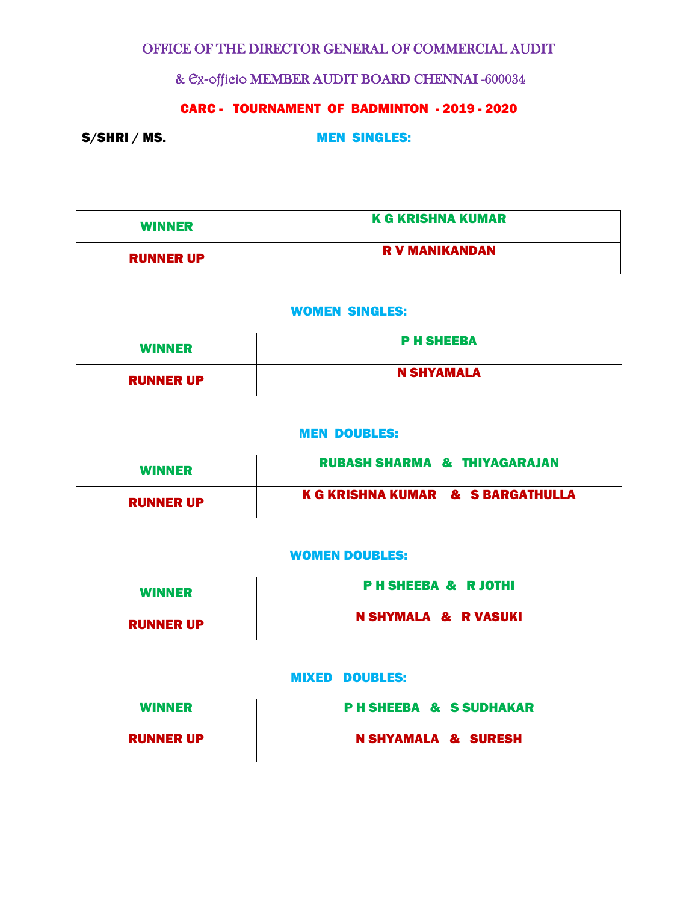# OFFICE OF THE DIRECTOR GENERAL OF COMMERCIAL AUDIT

& Ex-officio MEMBER AUDIT BOARD CHENNAI -600034

# CARC - TOURNAMENT OF BADMINTON - 2019 - 2020

S/SHRI / MS. MEN SINGLES:

| <b>WINNER</b>    | <b>K G KRISHNA KUMAR</b> |
|------------------|--------------------------|
| <b>RUNNER UP</b> | <b>R V MANIKANDAN</b>    |

### WOMEN SINGLES:

| <b>WINNER</b>    | <b>P H SHEEBA</b> |
|------------------|-------------------|
| <b>RUNNER UP</b> | <b>N SHYAMALA</b> |

#### MEN DOUBLES:

| <b>WINNER</b>    | <b>RUBASH SHARMA &amp; THIYAGARAJAN</b> |
|------------------|-----------------------------------------|
| <b>RUNNER UP</b> | K G KRISHNA KUMAR & S BARGATHULLA       |

### WOMEN DOUBLES:

| <b>WINNER</b>    | <b>PH SHEEBA &amp; RJOTHI</b> |
|------------------|-------------------------------|
| <b>RUNNER UP</b> | N SHYMALA & R VASUKI          |

### MIXED DOUBLES:

| <b>WINNER</b>    | <b>PH SHEEBA &amp; S SUDHAKAR</b> |
|------------------|-----------------------------------|
| <b>RUNNER UP</b> | <b>N SHYAMALA &amp; SURESH</b>    |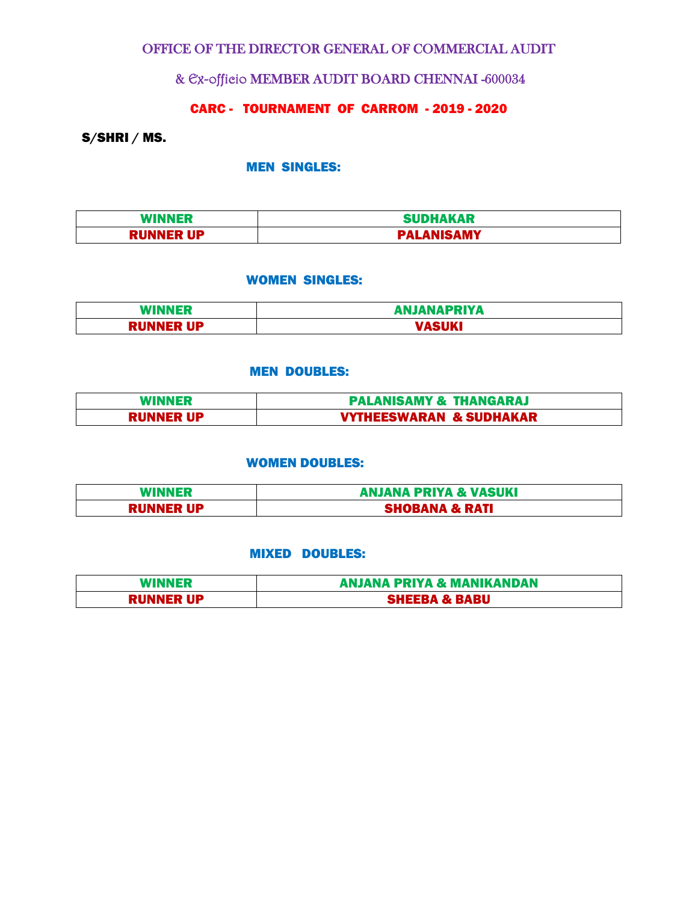## OFFICE OF THE DIRECTOR GENERAL OF COMMERCIAL AUDIT

## & Ex-officio MEMBER AUDIT BOARD CHENNAI -600034

# CARC - TOURNAMENT OF CARROM - 2019 - 2020

### S/SHRI / MS.

### MEN SINGLES:

| <b>WINNER</b><br>sв | <b>SUDHAKAR</b> |
|---------------------|-----------------|
| <b>RUNNER UP</b>    | <b>NISAMY</b>   |

#### WOMEN SINGLES:

| <b>WINNER</b> | <b>ANJANAPRIYA</b> |
|---------------|--------------------|
| UP<br>PIII    | <b>ACTIVE</b>      |

### MEN DOUBLES:

| WINNER           | <b>PALANISAMY &amp; THANGARAJ</b>  |
|------------------|------------------------------------|
| <b>RUNNER UP</b> | <b>VYTHEESWARAN &amp; SUDHAKAR</b> |

#### WOMEN DOUBLES:

| <b>WINNER</b>    | <b>ANJANA PRIYA &amp; VASUKI</b> |
|------------------|----------------------------------|
| <b>RUNNER UP</b> | HOBANA & RATI                    |

#### MIXED DOUBLES:

| <b>WINNER</b>    | <b>ANJANA PRIYA &amp; MANIKANDAN</b> |
|------------------|--------------------------------------|
| <b>RUNNER UP</b> | <b>SHEEBA &amp; BABU</b>             |